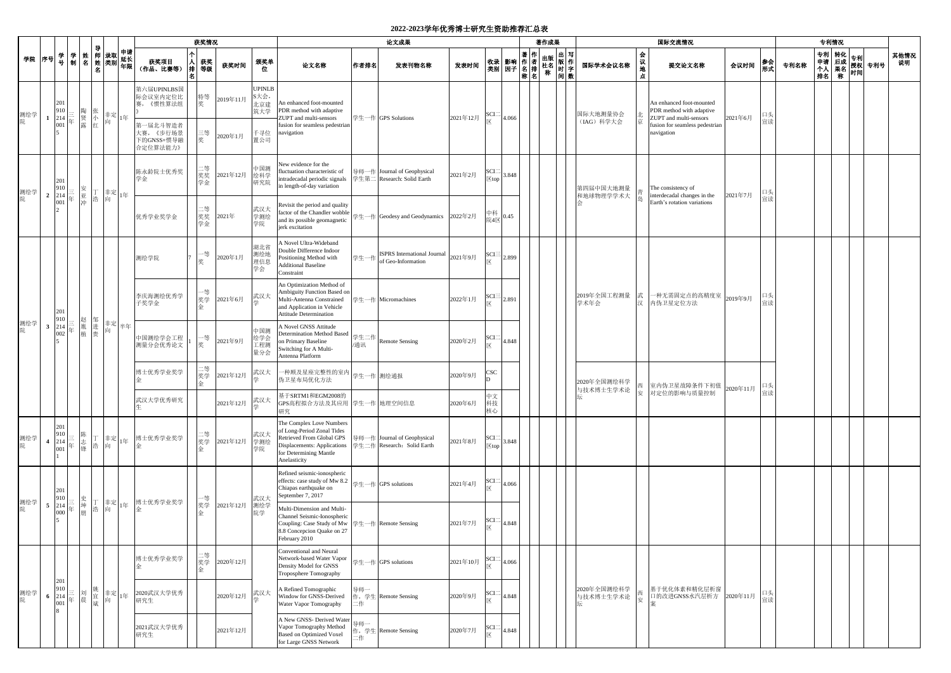## **2022-2023**学年优秀博士研究生资助推荐汇总表

|          |                                                     |  |                                                                                                                                                                                                                                                                                                                                               |  |                                                        | 获奖情况           |          |                                                              | 论文成果                                                                                                                                                         |            |                                                           |                                  |                                                                            |       | 专利情况<br>著作成果<br>国际交流情况 |  |                          |                   |                                                                                  |         |          |      |  |  |            |
|----------|-----------------------------------------------------|--|-----------------------------------------------------------------------------------------------------------------------------------------------------------------------------------------------------------------------------------------------------------------------------------------------------------------------------------------------|--|--------------------------------------------------------|----------------|----------|--------------------------------------------------------------|--------------------------------------------------------------------------------------------------------------------------------------------------------------|------------|-----------------------------------------------------------|----------------------------------|----------------------------------------------------------------------------|-------|------------------------|--|--------------------------|-------------------|----------------------------------------------------------------------------------|---------|----------|------|--|--|------------|
| 学院 序号    |                                                     |  | │学│姓│ <sup>yì</sup> │ 录取│ <sup>平</sup> ਸ<br>│ 号│ 制│名│姓│类别│年限│<br>名                                                                                                                                                                                                                                                                            |  | 获奖项目<br>(作品、比赛等)                                       | 人 获奖<br>排 等级   | 获奖时间     | 颁奖单<br>位                                                     | 论文名称                                                                                                                                                         | 作者排名       | 发表刊物名称                                                    | 发表时间                             |                                                                            |       |                        |  | 国际学术会议名称                 | 一会<br>议<br>地<br>点 | 提交论文名称                                                                           | 会议时间    | 参会<br>形式 | 专利名称 |  |  | 其他情况<br>说明 |
| 测绘学<br>院 | 201<br>910<br>$1 \quad 214$                         |  |                                                                                                                                                                                                                                                                                                                                               |  | 第六届UPINLBS国<br>际会议室内定位比<br>赛,《惯性算法组                    | 特等<br>奖        | 2019年11月 | <b>UPINLB</b><br>S大会,<br>北京建<br>筑大学<br>千寻位<br>2020年1月<br>置公司 | An enhanced foot-mounted<br>PDR method with adaptive<br>ZUPT and multi-sensors                                                                               |            | 学生一作 GPS Solutions                                        |                                  | $\begin{array}{c}\nSCI = \\ \hline\n\overline{X}\n\end{array}$<br>2021年12月 | 4.066 |                        |  | 国际大地测量协会                 |                   | An enhanced foot-mounted<br>PDR method with adaptive<br>ZUPT and multi-sensors   | 2021年6月 | 口头       |      |  |  |            |
|          | 001                                                 |  |                                                                                                                                                                                                                                                                                                                                               |  | 第一届北斗智造者<br>大赛, 《步行场景<br>下的GNSS+惯导融<br>合定位算法能力》        | 三等<br>奖        |          |                                                              | fusion for seamless pedestrian<br>navigation                                                                                                                 |            |                                                           |                                  |                                                                            |       |                        |  | (IAG) 科学大会               |                   | fusion for seamless pedestrian<br>navigation                                     | 宣读      |          |      |  |  |            |
| 测绘学<br>院 | 201<br>910                                          |  |                                                                                                                                                                                                                                                                                                                                               |  | 陈永龄院士优秀奖<br>学金                                         | :等<br>奖奖<br>学金 | 2021年12月 | 中国测<br>绘科学<br>研究院                                            | New evidence for the<br>luctuation characteristic of<br>intradecadal periodic signals<br>in length-of-day variation                                          |            | 导师一作 Journal of Geophysical<br>学生第二 Research: Solid Earth | 2021年2月                          | SCI<br>$\overline{\mathbb{X}}$ top                                         | 3.848 |                        |  | 第四届中国大地测量                |                   | The consistency of<br>interdecadal changes in the<br>Earth's rotation variations |         | 口头       |      |  |  |            |
|          | 2 $\begin{bmatrix} 214 \\ 001 \end{bmatrix}$        |  | $\begin{array}{c} \begin{matrix} \Xi \\ \Xi \\ \Xi \end{matrix} \\ \begin{matrix} \Xi \\ \Xi \end{matrix} \\ \begin{matrix} \Xi \\ \Xi \end{matrix} \\ \begin{matrix} \Xi \\ \Xi \end{matrix} \end{array} \begin{matrix} \Xi \\ \Xi \\ \Xi \end{matrix} \begin{matrix} \Xi \\ \Xi \\ \Xi \end{matrix} \begin{matrix} \Xi \\ \Xi \end{matrix}$ |  | 优秀学业奖学金                                                | :等<br>奖奖<br>学金 | 2021年    | 武汉大<br>学测绘<br>学院                                             | Revisit the period and quality<br>factor of the Chandler wobble<br>and its possible geomagnetic<br>jerk excitation                                           |            | 学生一作 Geodesy and Geodynamics 2022年2月                      |                                  | 中科<br>院4区                                                                  | 0.45  |                        |  | 和地球物理学学术大                |                   |                                                                                  | 2021年7月 | 宣读       |      |  |  |            |
| 测绘学<br>院 |                                                     |  |                                                                                                                                                                                                                                                                                                                                               |  | 测绘学院                                                   | 一等<br>奖        | 2020年1月  | 湖北省<br>测绘地<br>理信息<br>学会                                      | A Novel Ultra-Wideband<br>Double Difference Indoor<br>Positioning Method with<br><b>Additional Baseline</b><br>Constraint                                    | 学生一作       | <b>ISPRS</b> International Journal<br>of Geo-Information  | $SCI \equiv$<br>2021年9月<br>2.899 |                                                                            |       |                        |  |                          |                   |                                                                                  |         |          |      |  |  |            |
|          | 201<br>910                                          |  |                                                                                                                                                                                                                                                                                                                                               |  | 李庆海测绘优秀学<br>子奖学金                                       | ·等<br>奖学<br>金  | 2021年6月  | 武汉大                                                          | An Optimization Method of<br>Ambiguity Function Based on<br>Multi-Antenna Constrained<br>and Application in Vehicle<br><b>Attitude Determination</b>         |            | 学生一作 Micromachines                                        | 2022年1月                          | $SCI =$                                                                    | 2.891 |                        |  | 2019年全国工程测量<br>学术年会      | 武<br>汉            | -种无需固定点的高精度室 2019年9月<br>内伪卫星定位方法                                                 |         | 口头<br>宣读 |      |  |  |            |
|          | $3 \quad 214$<br>002                                |  | 三 赵 邹 丰定<br>三 胤 进 向<br>年 植 贵 向                                                                                                                                                                                                                                                                                                                |  | 中国测绘学会工程<br>测量分会优秀论文                                   | -等<br>奖        | 2021年9月  | 中国测<br>绘学会<br>工程测<br>量分会                                     | A Novel GNSS Attitude<br><b>Determination Method Based</b><br>on Primary Baseline<br>Switching for A Multi-<br>Antenna Platform                              | 学生二作<br>通讯 | Remote Sensing                                            | 2020年2月                          | SCI                                                                        | 4.848 |                        |  |                          |                   |                                                                                  |         |          |      |  |  |            |
|          |                                                     |  |                                                                                                                                                                                                                                                                                                                                               |  | 博士优秀学业奖学                                               | 奖学             | 2021年12月 | 武汉大                                                          | 一种顾及星座完整性的室内 学生一作 测绘通报<br>伪卫星布局优化方法                                                                                                                          |            |                                                           | 2020年9月                          | CSC                                                                        |       |                        |  | 2020年全国测绘科学              |                   |                                                                                  |         | 口头       |      |  |  |            |
|          |                                                     |  |                                                                                                                                                                                                                                                                                                                                               |  | 武汉大学优秀研究                                               |                | 2021年12月 | 武汉大                                                          | 基于SRTM1和EGM2008的<br>GPS高程拟合方法及其应用 学生一作 地理空间信息<br>研究                                                                                                          |            |                                                           | 2020年6月                          | 中文<br>科技<br>核心                                                             |       |                        |  | 与技术博士生学术论                |                   | 西 室内伪卫星故障条件下初值 2020年11月  <br>安 对定位的影响与质量控制 2020年11月                              |         | 宣读       |      |  |  |            |
| 测绘学<br>院 | 201<br>910<br>4 214<br>001                          |  |                                                                                                                                                                                                                                                                                                                                               |  | □ 陈  丁  丰定 1年  博士优秀学业奖学<br>年  锋 <sup> 书   </sup> 1年  金 | 二等<br>奖学<br>金  | 2021年12月 | 武汉大<br>学测绘<br>学院                                             | The Complex Love Numbers<br>of Long-Period Zonal Tides<br>Retrieved From Global GPS<br>Displacements: Applications<br>for Determining Mantle<br>Anelasticity |            | 导师一作 Journal of Geophysical<br>学生二作 Research: Solid Earth | 2021年8月                          | SCI<br>$\overline{\boxtimes}$ top                                          | 3.848 |                        |  |                          |                   |                                                                                  |         |          |      |  |  |            |
| 测绘学<br>院 | 201<br>910                                          |  |                                                                                                                                                                                                                                                                                                                                               |  |                                                        | 一等             |          | 武汉大                                                          | Refined seismic-ionospheric<br>effects: case study of Mw 8.2<br>Chiapas earthquake on<br>September 7, 2017                                                   |            | 学生一作 GPS solutions                                        | 2021年4月                          | SCI                                                                        | 4.066 |                        |  |                          |                   |                                                                                  |         |          |      |  |  |            |
|          | $\begin{array}{c c} 5 & 214 \\ 000 & 5 \end{array}$ |  |                                                                                                                                                                                                                                                                                                                                               |  | 三 史   丁   非定   1年   博士优秀学业奖学<br>年   朋   浩   向   1年   金 | 奖学             | 2021年12月 | 测绘学<br>院学                                                    | Multi-Dimension and Multi-<br>Channel Seismic-Ionospheric<br>Coupling: Case Study of Mw 学生一作 Remote Sensing<br>8.8 Concepcion Quake on 27<br>February 2010   |            |                                                           | 2021年7月                          | SCI                                                                        | 4.848 |                        |  |                          |                   |                                                                                  |         |          |      |  |  |            |
| 测绘学<br>院 |                                                     |  |                                                                                                                                                                                                                                                                                                                                               |  | 博士优秀学业奖学                                               | 二等<br>奖学<br>金  | 2020年12月 |                                                              | Conventional and Neural<br>Network-based Water Vapor<br>Density Model for GNSS<br>Troposphere Tomography                                                     |            | 学生一作 GPS solutions                                        | 2021年10月                         | $\begin{array}{c}\nSCI = \\ \hline\n\times\n\end{array}$                   | 4.066 |                        |  |                          |                   |                                                                                  |         |          |      |  |  |            |
|          | 201<br>910<br>6 $214$<br>001                        |  |                                                                                                                                                                                                                                                                                                                                               |  | 2020武汉大学优秀<br>研究生                                      |                | 2020年12月 | 武汉大                                                          | A Refined Tomographic<br>Window for GNSS-Derived<br>Water Vapor Tomography                                                                                   | 导师一<br>二作  | 作, 学生 Remote Sensing                                      | 2020年9月                          | SCI                                                                        | 4.848 |                        |  | 2020年全国测绘科学<br>与技术博士生学术论 | 安                 | 基于优化体素和精化层析窗<br>口的改进GNSS水汽层析方 2020年11月                                           |         | 口头<br>宣读 |      |  |  |            |
|          |                                                     |  |                                                                                                                                                                                                                                                                                                                                               |  | 2021武汉大学优秀<br>研究生                                      |                | 2021年12月 |                                                              | A New GNSS- Derived Water<br>Vapor Tomography Method<br><b>Based on Optimized Voxel</b><br>for Large GNSS Network                                            | 导师-<br>:作  | 作, 学生 Remote Sensing                                      | 2020年7月                          | SCI                                                                        | 4.848 |                        |  |                          |                   |                                                                                  |         |          |      |  |  |            |